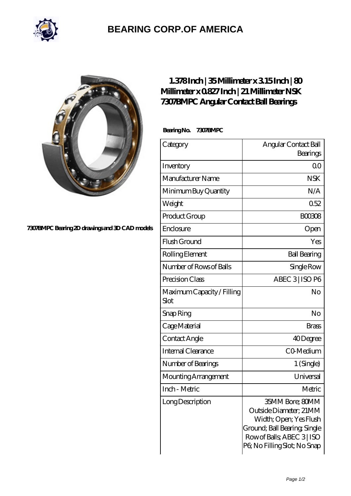

## **[BEARING CORP.OF AMERICA](https://m.bluemondayreview.com)**



## **[7307BMPC Bearing 2D drawings and 3D CAD models](https://m.bluemondayreview.com/pic-172764.html)**

## **[1.378 Inch | 35 Millimeter x 3.15 Inch | 80](https://m.bluemondayreview.com/aw-172764-nsk-7307bmpc-angular-contact-ball-bearings.html) [Millimeter x 0.827 Inch | 21 Millimeter NSK](https://m.bluemondayreview.com/aw-172764-nsk-7307bmpc-angular-contact-ball-bearings.html) [7307BMPC Angular Contact Ball Bearings](https://m.bluemondayreview.com/aw-172764-nsk-7307bmpc-angular-contact-ball-bearings.html)**

 **Bearing No. 7307BMPC**

| Category                           | Angular Contact Ball<br>Bearings                                                                                                                                  |
|------------------------------------|-------------------------------------------------------------------------------------------------------------------------------------------------------------------|
| Inventory                          | 0 <sub>0</sub>                                                                                                                                                    |
| Manufacturer Name                  | <b>NSK</b>                                                                                                                                                        |
| Minimum Buy Quantity               | N/A                                                                                                                                                               |
| Weight                             | 0.52                                                                                                                                                              |
| Product Group                      | <b>BOO3O8</b>                                                                                                                                                     |
| Enclosure                          | Open                                                                                                                                                              |
| Flush Ground                       | Yes                                                                                                                                                               |
| Rolling Element                    | <b>Ball Bearing</b>                                                                                                                                               |
| Number of Rows of Balls            | Single Row                                                                                                                                                        |
| Precision Class                    | ABEC 3   ISO P6                                                                                                                                                   |
| Maximum Capacity / Filling<br>Slot | No                                                                                                                                                                |
| Snap Ring                          | No                                                                                                                                                                |
| Cage Material                      | <b>Brass</b>                                                                                                                                                      |
| Contact Angle                      | 40Degree                                                                                                                                                          |
| Internal Clearance                 | CO-Medium                                                                                                                                                         |
| Number of Bearings                 | 1 (Single)                                                                                                                                                        |
| Mounting Arrangement               | Universal                                                                                                                                                         |
| Inch - Metric                      | Metric                                                                                                                                                            |
| Long Description                   | 35MM Bore; 80MM<br>Outside Diameter; 21MM<br>Width; Open; Yes Flush<br>Ground; Ball Bearing; Single<br>Row of Balls, ABEC 3   ISO<br>P6; No Filling Slot; No Snap |